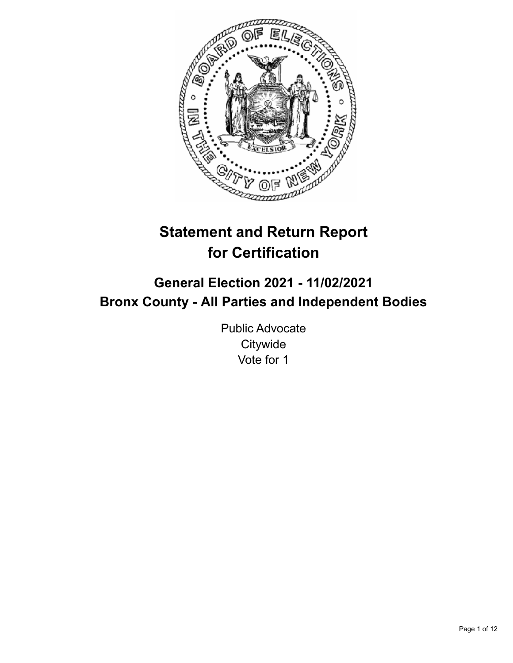

# **Statement and Return Report for Certification**

## **General Election 2021 - 11/02/2021 Bronx County - All Parties and Independent Bodies**

Public Advocate **Citywide** Vote for 1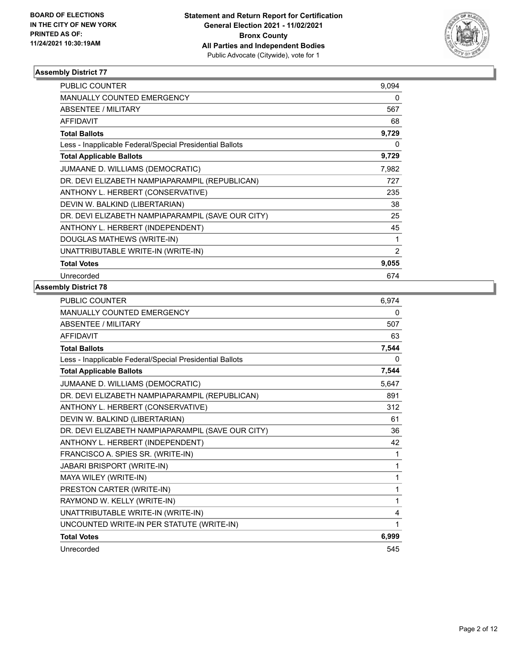

| <b>PUBLIC COUNTER</b>                                    | 9,094 |
|----------------------------------------------------------|-------|
| <b>MANUALLY COUNTED EMERGENCY</b>                        | 0     |
| <b>ABSENTEE / MILITARY</b>                               | 567   |
| <b>AFFIDAVIT</b>                                         | 68    |
| <b>Total Ballots</b>                                     | 9,729 |
| Less - Inapplicable Federal/Special Presidential Ballots | 0     |
| <b>Total Applicable Ballots</b>                          | 9,729 |
| JUMAANE D. WILLIAMS (DEMOCRATIC)                         | 7,982 |
| DR. DEVI ELIZABETH NAMPIAPARAMPIL (REPUBLICAN)           | 727   |
| ANTHONY L. HERBERT (CONSERVATIVE)                        | 235   |
| DEVIN W. BALKIND (LIBERTARIAN)                           | 38    |
| DR. DEVI ELIZABETH NAMPIAPARAMPIL (SAVE OUR CITY)        | 25    |
| ANTHONY L. HERBERT (INDEPENDENT)                         | 45    |
| DOUGLAS MATHEWS (WRITE-IN)                               | 1     |
| UNATTRIBUTABLE WRITE-IN (WRITE-IN)                       | 2     |
| <b>Total Votes</b>                                       | 9,055 |
| Unrecorded                                               | 674   |

| PUBLIC COUNTER                                           | 6,974 |
|----------------------------------------------------------|-------|
| MANUALLY COUNTED EMERGENCY                               | 0     |
| <b>ABSENTEE / MILITARY</b>                               | 507   |
| <b>AFFIDAVIT</b>                                         | 63    |
| <b>Total Ballots</b>                                     | 7,544 |
| Less - Inapplicable Federal/Special Presidential Ballots | 0     |
| <b>Total Applicable Ballots</b>                          | 7,544 |
| JUMAANE D. WILLIAMS (DEMOCRATIC)                         | 5,647 |
| DR. DEVI ELIZABETH NAMPIAPARAMPIL (REPUBLICAN)           | 891   |
| ANTHONY L. HERBERT (CONSERVATIVE)                        | 312   |
| DEVIN W. BALKIND (LIBERTARIAN)                           | 61    |
| DR. DEVI ELIZABETH NAMPIAPARAMPIL (SAVE OUR CITY)        | 36    |
| ANTHONY L. HERBERT (INDEPENDENT)                         | 42    |
| FRANCISCO A. SPIES SR. (WRITE-IN)                        | 1     |
| JABARI BRISPORT (WRITE-IN)                               | 1     |
| MAYA WILEY (WRITE-IN)                                    | 1     |
| PRESTON CARTER (WRITE-IN)                                | 1     |
| RAYMOND W. KELLY (WRITE-IN)                              | 1     |
| UNATTRIBUTABLE WRITE-IN (WRITE-IN)                       | 4     |
| UNCOUNTED WRITE-IN PER STATUTE (WRITE-IN)                | 1     |
| <b>Total Votes</b>                                       | 6,999 |
| Unrecorded                                               | 545   |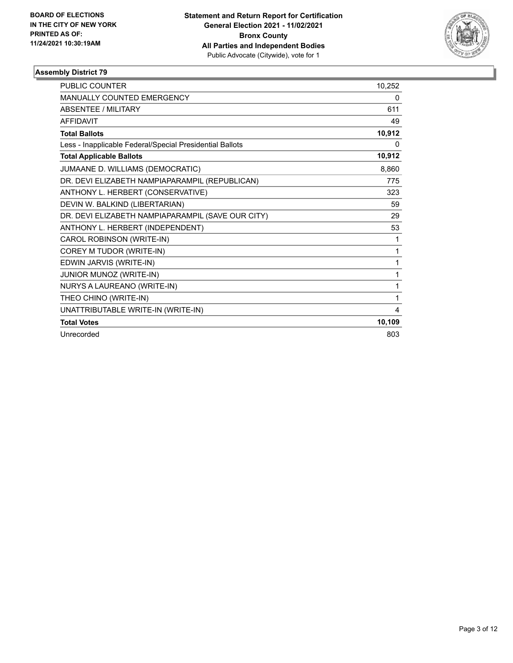

| <b>PUBLIC COUNTER</b>                                    | 10,252 |
|----------------------------------------------------------|--------|
| MANUALLY COUNTED EMERGENCY                               | 0      |
| <b>ABSENTEE / MILITARY</b>                               | 611    |
| <b>AFFIDAVIT</b>                                         | 49     |
| <b>Total Ballots</b>                                     | 10,912 |
| Less - Inapplicable Federal/Special Presidential Ballots | 0      |
| <b>Total Applicable Ballots</b>                          | 10,912 |
| JUMAANE D. WILLIAMS (DEMOCRATIC)                         | 8,860  |
| DR. DEVI ELIZABETH NAMPIAPARAMPIL (REPUBLICAN)           | 775    |
| ANTHONY L. HERBERT (CONSERVATIVE)                        | 323    |
| DEVIN W. BALKIND (LIBERTARIAN)                           | 59     |
| DR. DEVI ELIZABETH NAMPIAPARAMPIL (SAVE OUR CITY)        | 29     |
| ANTHONY L. HERBERT (INDEPENDENT)                         | 53     |
| CAROL ROBINSON (WRITE-IN)                                | 1      |
| COREY M TUDOR (WRITE-IN)                                 | 1      |
| EDWIN JARVIS (WRITE-IN)                                  | 1      |
| JUNIOR MUNOZ (WRITE-IN)                                  | 1      |
| NURYS A LAUREANO (WRITE-IN)                              | 1      |
| THEO CHINO (WRITE-IN)                                    | 1      |
| UNATTRIBUTABLE WRITE-IN (WRITE-IN)                       | 4      |
| <b>Total Votes</b>                                       | 10,109 |
| Unrecorded                                               | 803    |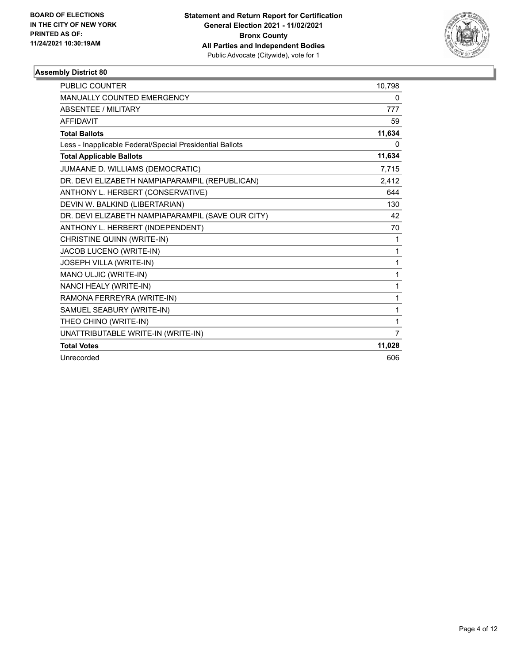

| <b>PUBLIC COUNTER</b>                                    | 10,798 |
|----------------------------------------------------------|--------|
| <b>MANUALLY COUNTED EMERGENCY</b>                        | 0      |
| <b>ABSENTEE / MILITARY</b>                               | 777    |
| <b>AFFIDAVIT</b>                                         | 59     |
| <b>Total Ballots</b>                                     | 11,634 |
| Less - Inapplicable Federal/Special Presidential Ballots | 0      |
| <b>Total Applicable Ballots</b>                          | 11,634 |
| JUMAANE D. WILLIAMS (DEMOCRATIC)                         | 7,715  |
| DR. DEVI ELIZABETH NAMPIAPARAMPIL (REPUBLICAN)           | 2,412  |
| ANTHONY L. HERBERT (CONSERVATIVE)                        | 644    |
| DEVIN W. BALKIND (LIBERTARIAN)                           | 130    |
| DR. DEVI ELIZABETH NAMPIAPARAMPIL (SAVE OUR CITY)        | 42     |
| ANTHONY L. HERBERT (INDEPENDENT)                         | 70     |
| CHRISTINE QUINN (WRITE-IN)                               | 1      |
| JACOB LUCENO (WRITE-IN)                                  | 1      |
| JOSEPH VILLA (WRITE-IN)                                  | 1      |
| MANO ULJIC (WRITE-IN)                                    | 1      |
| NANCI HEALY (WRITE-IN)                                   | 1      |
| RAMONA FERREYRA (WRITE-IN)                               | 1      |
| SAMUEL SEABURY (WRITE-IN)                                | 1      |
| THEO CHINO (WRITE-IN)                                    | 1      |
| UNATTRIBUTABLE WRITE-IN (WRITE-IN)                       | 7      |
| <b>Total Votes</b>                                       | 11,028 |
| Unrecorded                                               | 606    |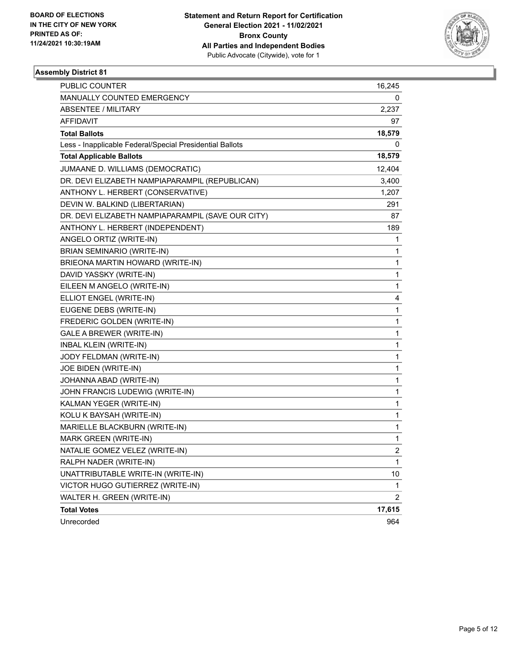

| <b>PUBLIC COUNTER</b>                                    | 16,245         |
|----------------------------------------------------------|----------------|
| MANUALLY COUNTED EMERGENCY                               | 0              |
| <b>ABSENTEE / MILITARY</b>                               | 2,237          |
| AFFIDAVIT                                                | 97             |
| <b>Total Ballots</b>                                     | 18,579         |
| Less - Inapplicable Federal/Special Presidential Ballots | 0              |
| <b>Total Applicable Ballots</b>                          | 18,579         |
| JUMAANE D. WILLIAMS (DEMOCRATIC)                         | 12,404         |
| DR. DEVI ELIZABETH NAMPIAPARAMPIL (REPUBLICAN)           | 3,400          |
| ANTHONY L. HERBERT (CONSERVATIVE)                        | 1,207          |
| DEVIN W. BALKIND (LIBERTARIAN)                           | 291            |
| DR. DEVI ELIZABETH NAMPIAPARAMPIL (SAVE OUR CITY)        | 87             |
| ANTHONY L. HERBERT (INDEPENDENT)                         | 189            |
| ANGELO ORTIZ (WRITE-IN)                                  | 1              |
| BRIAN SEMINARIO (WRITE-IN)                               | 1              |
| BRIEONA MARTIN HOWARD (WRITE-IN)                         | 1              |
| DAVID YASSKY (WRITE-IN)                                  | 1              |
| EILEEN M ANGELO (WRITE-IN)                               | 1              |
| ELLIOT ENGEL (WRITE-IN)                                  | 4              |
| EUGENE DEBS (WRITE-IN)                                   | 1              |
| FREDERIC GOLDEN (WRITE-IN)                               | 1              |
| <b>GALE A BREWER (WRITE-IN)</b>                          | 1              |
| <b>INBAL KLEIN (WRITE-IN)</b>                            | 1              |
| JODY FELDMAN (WRITE-IN)                                  | 1              |
| JOE BIDEN (WRITE-IN)                                     | 1              |
| JOHANNA ABAD (WRITE-IN)                                  | 1              |
| JOHN FRANCIS LUDEWIG (WRITE-IN)                          | 1              |
| KALMAN YEGER (WRITE-IN)                                  | 1              |
| KOLU K BAYSAH (WRITE-IN)                                 | 1              |
| MARIELLE BLACKBURN (WRITE-IN)                            | 1              |
| MARK GREEN (WRITE-IN)                                    | 1              |
| NATALIE GOMEZ VELEZ (WRITE-IN)                           | $\overline{c}$ |
| RALPH NADER (WRITE-IN)                                   | 1              |
| UNATTRIBUTABLE WRITE-IN (WRITE-IN)                       | 10             |
| VICTOR HUGO GUTIERREZ (WRITE-IN)                         | 1              |
| WALTER H. GREEN (WRITE-IN)                               | $\overline{2}$ |
| <b>Total Votes</b>                                       | 17,615         |
| Unrecorded                                               | 964            |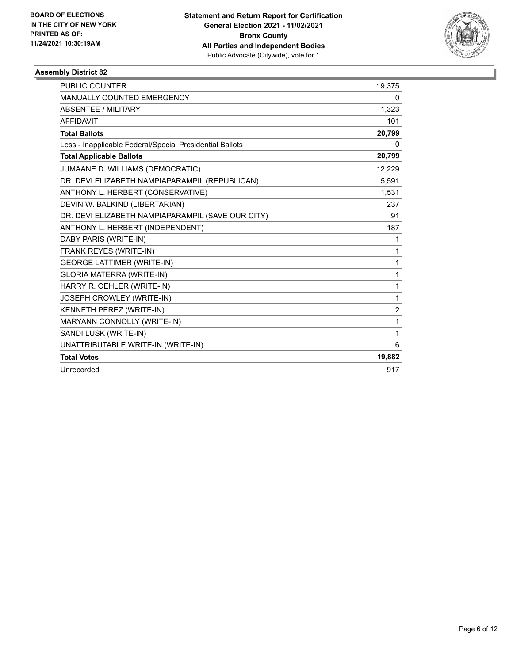

| PUBLIC COUNTER                                           | 19,375         |
|----------------------------------------------------------|----------------|
| MANUALLY COUNTED EMERGENCY                               | 0              |
| ABSENTEE / MILITARY                                      | 1,323          |
| <b>AFFIDAVIT</b>                                         | 101            |
| <b>Total Ballots</b>                                     | 20,799         |
| Less - Inapplicable Federal/Special Presidential Ballots | 0              |
| <b>Total Applicable Ballots</b>                          | 20,799         |
| JUMAANE D. WILLIAMS (DEMOCRATIC)                         | 12,229         |
| DR. DEVI ELIZABETH NAMPIAPARAMPIL (REPUBLICAN)           | 5,591          |
| ANTHONY L. HERBERT (CONSERVATIVE)                        | 1,531          |
| DEVIN W. BALKIND (LIBERTARIAN)                           | 237            |
| DR. DEVI ELIZABETH NAMPIAPARAMPIL (SAVE OUR CITY)        | 91             |
| ANTHONY L. HERBERT (INDEPENDENT)                         | 187            |
| DABY PARIS (WRITE-IN)                                    | 1              |
| FRANK REYES (WRITE-IN)                                   | 1              |
| <b>GEORGE LATTIMER (WRITE-IN)</b>                        | 1              |
| <b>GLORIA MATERRA (WRITE-IN)</b>                         | 1              |
| HARRY R. OEHLER (WRITE-IN)                               | 1              |
| JOSEPH CROWLEY (WRITE-IN)                                | 1              |
| KENNETH PEREZ (WRITE-IN)                                 | $\overline{2}$ |
| MARYANN CONNOLLY (WRITE-IN)                              | 1              |
| SANDI LUSK (WRITE-IN)                                    | 1              |
| UNATTRIBUTABLE WRITE-IN (WRITE-IN)                       | 6              |
| <b>Total Votes</b>                                       | 19,882         |
| Unrecorded                                               | 917            |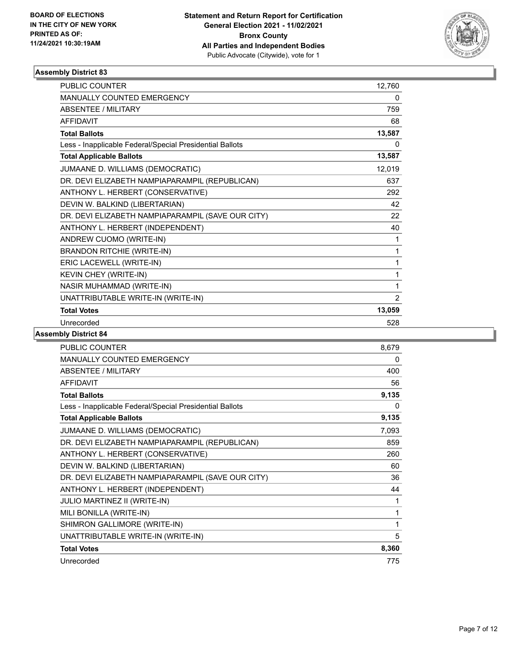

| <b>PUBLIC COUNTER</b>                                    | 12,760         |
|----------------------------------------------------------|----------------|
| MANUALLY COUNTED EMERGENCY                               | 0              |
| ABSENTEE / MILITARY                                      | 759            |
| <b>AFFIDAVIT</b>                                         | 68             |
| <b>Total Ballots</b>                                     | 13,587         |
| Less - Inapplicable Federal/Special Presidential Ballots | 0              |
| <b>Total Applicable Ballots</b>                          | 13,587         |
| JUMAANE D. WILLIAMS (DEMOCRATIC)                         | 12,019         |
| DR. DEVI ELIZABETH NAMPIAPARAMPIL (REPUBLICAN)           | 637            |
| ANTHONY L. HERBERT (CONSERVATIVE)                        | 292            |
| DEVIN W. BALKIND (LIBERTARIAN)                           | 42             |
| DR. DEVI ELIZABETH NAMPIAPARAMPIL (SAVE OUR CITY)        | 22             |
| ANTHONY L. HERBERT (INDEPENDENT)                         | 40             |
| ANDREW CUOMO (WRITE-IN)                                  | 1              |
| <b>BRANDON RITCHIE (WRITE-IN)</b>                        | 1              |
| ERIC LACEWELL (WRITE-IN)                                 | 1              |
| KEVIN CHEY (WRITE-IN)                                    | 1              |
| NASIR MUHAMMAD (WRITE-IN)                                | 1              |
| UNATTRIBUTABLE WRITE-IN (WRITE-IN)                       | $\overline{2}$ |
| <b>Total Votes</b>                                       | 13,059         |
| Unrecorded                                               | 528            |

| <b>PUBLIC COUNTER</b>                                    | 8,679 |
|----------------------------------------------------------|-------|
| MANUALLY COUNTED EMERGENCY                               | 0     |
| ABSENTEE / MILITARY                                      | 400   |
| <b>AFFIDAVIT</b>                                         | 56    |
| <b>Total Ballots</b>                                     | 9,135 |
| Less - Inapplicable Federal/Special Presidential Ballots | 0     |
| <b>Total Applicable Ballots</b>                          | 9,135 |
| JUMAANE D. WILLIAMS (DEMOCRATIC)                         | 7,093 |
| DR. DEVI ELIZABETH NAMPIAPARAMPIL (REPUBLICAN)           | 859   |
| ANTHONY L. HERBERT (CONSERVATIVE)                        | 260   |
| DEVIN W. BALKIND (LIBERTARIAN)                           | 60    |
| DR. DEVI ELIZABETH NAMPIAPARAMPIL (SAVE OUR CITY)        | 36    |
| ANTHONY L. HERBERT (INDEPENDENT)                         | 44    |
| <b>JULIO MARTINEZ II (WRITE-IN)</b>                      | 1     |
| MILI BONILLA (WRITE-IN)                                  | 1     |
| SHIMRON GALLIMORE (WRITE-IN)                             | 1     |
| UNATTRIBUTABLE WRITE-IN (WRITE-IN)                       | 5     |
| <b>Total Votes</b>                                       | 8,360 |
| Unrecorded                                               | 775   |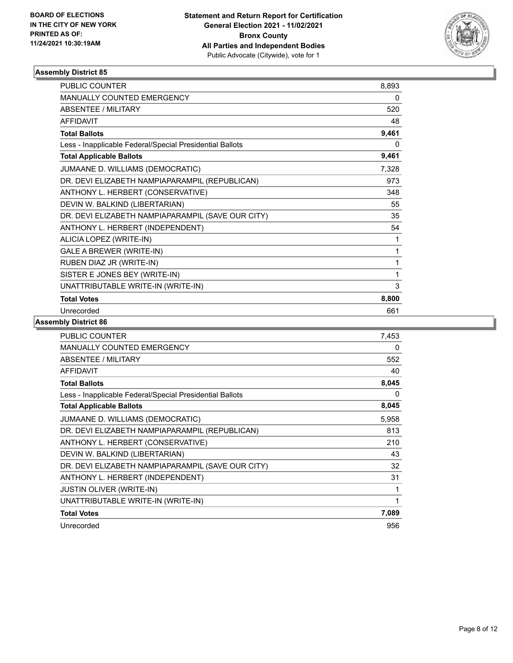

| <b>PUBLIC COUNTER</b>                                    | 8,893 |
|----------------------------------------------------------|-------|
| MANUALLY COUNTED EMERGENCY                               | 0     |
| <b>ABSENTEE / MILITARY</b>                               | 520   |
| <b>AFFIDAVIT</b>                                         | 48    |
| <b>Total Ballots</b>                                     | 9,461 |
| Less - Inapplicable Federal/Special Presidential Ballots | 0     |
| <b>Total Applicable Ballots</b>                          | 9,461 |
| JUMAANE D. WILLIAMS (DEMOCRATIC)                         | 7,328 |
| DR. DEVI ELIZABETH NAMPIAPARAMPIL (REPUBLICAN)           | 973   |
| ANTHONY L. HERBERT (CONSERVATIVE)                        | 348   |
| DEVIN W. BALKIND (LIBERTARIAN)                           | 55    |
| DR. DEVI ELIZABETH NAMPIAPARAMPIL (SAVE OUR CITY)        | 35    |
| ANTHONY L. HERBERT (INDEPENDENT)                         | 54    |
| ALICIA LOPEZ (WRITE-IN)                                  | 1     |
| <b>GALE A BREWER (WRITE-IN)</b>                          | 1     |
| RUBEN DIAZ JR (WRITE-IN)                                 | 1     |
| SISTER E JONES BEY (WRITE-IN)                            | 1     |
| UNATTRIBUTABLE WRITE-IN (WRITE-IN)                       | 3     |
| <b>Total Votes</b>                                       | 8,800 |
| Unrecorded                                               | 661   |

| <b>PUBLIC COUNTER</b>                                    | 7,453 |
|----------------------------------------------------------|-------|
| <b>MANUALLY COUNTED EMERGENCY</b>                        | 0     |
| <b>ABSENTEE / MILITARY</b>                               | 552   |
| <b>AFFIDAVIT</b>                                         | 40    |
| <b>Total Ballots</b>                                     | 8,045 |
| Less - Inapplicable Federal/Special Presidential Ballots | 0     |
| <b>Total Applicable Ballots</b>                          | 8,045 |
| JUMAANE D. WILLIAMS (DEMOCRATIC)                         | 5,958 |
| DR. DEVI ELIZABETH NAMPIAPARAMPIL (REPUBLICAN)           | 813   |
| ANTHONY L. HERBERT (CONSERVATIVE)                        | 210   |
| DEVIN W. BALKIND (LIBERTARIAN)                           | 43    |
| DR. DEVI ELIZABETH NAMPIAPARAMPIL (SAVE OUR CITY)        | 32    |
| ANTHONY L. HERBERT (INDEPENDENT)                         | 31    |
| <b>JUSTIN OLIVER (WRITE-IN)</b>                          | 1     |
| UNATTRIBUTABLE WRITE-IN (WRITE-IN)                       | 1     |
| <b>Total Votes</b>                                       | 7,089 |
| Unrecorded                                               | 956   |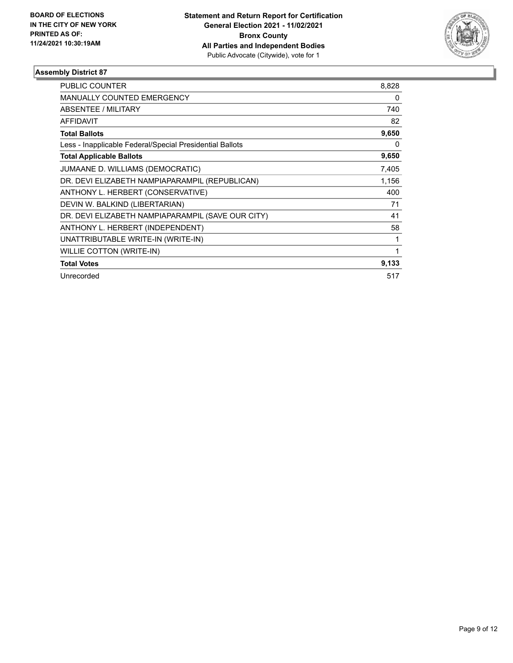

| PUBLIC COUNTER                                           | 8,828 |
|----------------------------------------------------------|-------|
| <b>MANUALLY COUNTED EMERGENCY</b>                        | 0     |
| <b>ABSENTEE / MILITARY</b>                               | 740   |
| <b>AFFIDAVIT</b>                                         | 82    |
| <b>Total Ballots</b>                                     | 9,650 |
| Less - Inapplicable Federal/Special Presidential Ballots | 0     |
| <b>Total Applicable Ballots</b>                          | 9,650 |
| JUMAANE D. WILLIAMS (DEMOCRATIC)                         | 7,405 |
| DR. DEVI ELIZABETH NAMPIAPARAMPIL (REPUBLICAN)           | 1,156 |
| ANTHONY L. HERBERT (CONSERVATIVE)                        | 400   |
| DEVIN W. BALKIND (LIBERTARIAN)                           | 71    |
| DR. DEVI ELIZABETH NAMPIAPARAMPIL (SAVE OUR CITY)        | 41    |
| ANTHONY L. HERBERT (INDEPENDENT)                         | 58    |
| UNATTRIBUTABLE WRITE-IN (WRITE-IN)                       | 1     |
| <b>WILLIE COTTON (WRITE-IN)</b>                          | 1     |
| <b>Total Votes</b>                                       | 9,133 |
| Unrecorded                                               | 517   |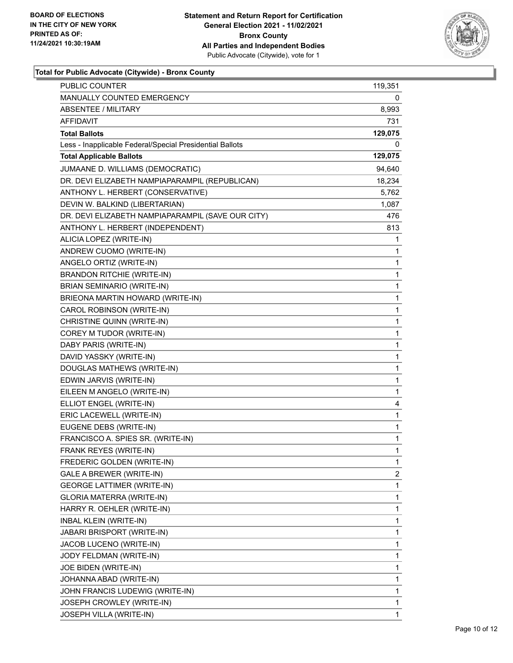

### **Total for Public Advocate (Citywide) - Bronx County**

| PUBLIC COUNTER                                           | 119,351      |
|----------------------------------------------------------|--------------|
| <b>MANUALLY COUNTED EMERGENCY</b>                        | 0            |
| <b>ABSENTEE / MILITARY</b>                               | 8,993        |
| AFFIDAVIT                                                | 731          |
| <b>Total Ballots</b>                                     | 129,075      |
| Less - Inapplicable Federal/Special Presidential Ballots | 0            |
| <b>Total Applicable Ballots</b>                          | 129,075      |
| JUMAANE D. WILLIAMS (DEMOCRATIC)                         | 94,640       |
| DR. DEVI ELIZABETH NAMPIAPARAMPIL (REPUBLICAN)           | 18,234       |
| ANTHONY L. HERBERT (CONSERVATIVE)                        | 5,762        |
| DEVIN W. BALKIND (LIBERTARIAN)                           | 1,087        |
| DR. DEVI ELIZABETH NAMPIAPARAMPIL (SAVE OUR CITY)        | 476          |
| ANTHONY L. HERBERT (INDEPENDENT)                         | 813          |
| ALICIA LOPEZ (WRITE-IN)                                  | 1            |
| ANDREW CUOMO (WRITE-IN)                                  | 1            |
| ANGELO ORTIZ (WRITE-IN)                                  | 1            |
| <b>BRANDON RITCHIE (WRITE-IN)</b>                        | 1            |
| BRIAN SEMINARIO (WRITE-IN)                               | 1            |
| BRIEONA MARTIN HOWARD (WRITE-IN)                         | 1            |
| CAROL ROBINSON (WRITE-IN)                                | $\mathbf{1}$ |
| CHRISTINE QUINN (WRITE-IN)                               | 1            |
| COREY M TUDOR (WRITE-IN)                                 | 1            |
| DABY PARIS (WRITE-IN)                                    | 1            |
| DAVID YASSKY (WRITE-IN)                                  | 1            |
| DOUGLAS MATHEWS (WRITE-IN)                               | 1            |
| EDWIN JARVIS (WRITE-IN)                                  | $\mathbf{1}$ |
| EILEEN M ANGELO (WRITE-IN)                               | 1            |
| ELLIOT ENGEL (WRITE-IN)                                  | 4            |
| ERIC LACEWELL (WRITE-IN)                                 | 1            |
| EUGENE DEBS (WRITE-IN)                                   | 1            |
| FRANCISCO A. SPIES SR. (WRITE-IN)                        | 1            |
| FRANK REYES (WRITE-IN)                                   | $\mathbf{1}$ |
| FREDERIC GOLDEN (WRITE-IN)                               | 1            |
| GALE A BREWER (WRITE-IN)                                 | 2            |
| <b>GEORGE LATTIMER (WRITE-IN)</b>                        | 1            |
| GLORIA MATERRA (WRITE-IN)                                | 1            |
| HARRY R. OEHLER (WRITE-IN)                               | 1            |
| <b>INBAL KLEIN (WRITE-IN)</b>                            | 1            |
| <b>JABARI BRISPORT (WRITE-IN)</b>                        | 1            |
| JACOB LUCENO (WRITE-IN)                                  | 1            |
| JODY FELDMAN (WRITE-IN)                                  | 1            |
| JOE BIDEN (WRITE-IN)                                     | 1            |
| JOHANNA ABAD (WRITE-IN)                                  | 1            |
| JOHN FRANCIS LUDEWIG (WRITE-IN)                          | 1            |
| JOSEPH CROWLEY (WRITE-IN)                                | 1            |
| JOSEPH VILLA (WRITE-IN)                                  | 1            |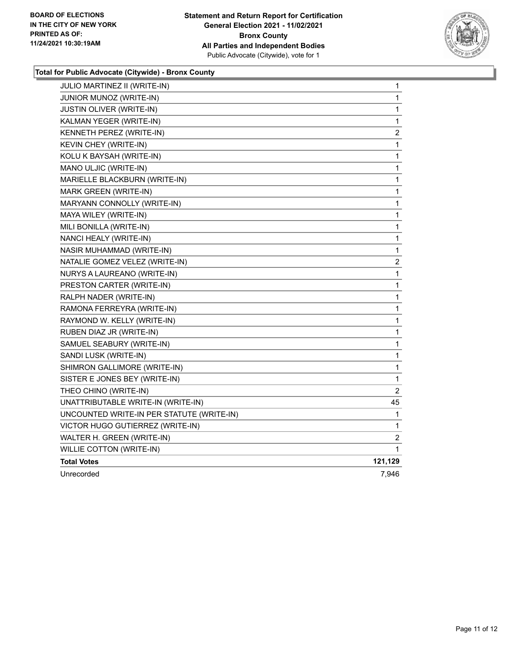

### **Total for Public Advocate (Citywide) - Bronx County**

| <b>JULIO MARTINEZ II (WRITE-IN)</b>       | 1                       |
|-------------------------------------------|-------------------------|
| JUNIOR MUNOZ (WRITE-IN)                   | 1                       |
| JUSTIN OLIVER (WRITE-IN)                  | 1                       |
| KALMAN YEGER (WRITE-IN)                   | 1                       |
| KENNETH PEREZ (WRITE-IN)                  | $\overline{\mathbf{c}}$ |
| KEVIN CHEY (WRITE-IN)                     | 1                       |
| KOLU K BAYSAH (WRITE-IN)                  | $\mathbf 1$             |
| MANO ULJIC (WRITE-IN)                     | 1                       |
| MARIELLE BLACKBURN (WRITE-IN)             | 1                       |
| MARK GREEN (WRITE-IN)                     | 1                       |
| MARYANN CONNOLLY (WRITE-IN)               | 1                       |
| MAYA WILEY (WRITE-IN)                     | 1                       |
| MILI BONILLA (WRITE-IN)                   | 1                       |
| NANCI HEALY (WRITE-IN)                    | 1                       |
| NASIR MUHAMMAD (WRITE-IN)                 | $\mathbf 1$             |
| NATALIE GOMEZ VELEZ (WRITE-IN)            | $\overline{\mathbf{c}}$ |
| NURYS A LAUREANO (WRITE-IN)               | 1                       |
| PRESTON CARTER (WRITE-IN)                 | 1                       |
| RALPH NADER (WRITE-IN)                    | 1                       |
| RAMONA FERREYRA (WRITE-IN)                | $\mathbf 1$             |
| RAYMOND W. KELLY (WRITE-IN)               | 1                       |
| RUBEN DIAZ JR (WRITE-IN)                  | 1                       |
| SAMUEL SEABURY (WRITE-IN)                 | 1                       |
| SANDI LUSK (WRITE-IN)                     | 1                       |
| SHIMRON GALLIMORE (WRITE-IN)              | 1                       |
| SISTER E JONES BEY (WRITE-IN)             | 1                       |
| THEO CHINO (WRITE-IN)                     | $\overline{c}$          |
| UNATTRIBUTABLE WRITE-IN (WRITE-IN)        | 45                      |
| UNCOUNTED WRITE-IN PER STATUTE (WRITE-IN) | 1                       |
| VICTOR HUGO GUTIERREZ (WRITE-IN)          | 1                       |
| WALTER H. GREEN (WRITE-IN)                | $\overline{\mathbf{c}}$ |
| WILLIE COTTON (WRITE-IN)                  | 1                       |
| <b>Total Votes</b>                        | 121,129                 |
| Unrecorded                                | 7,946                   |